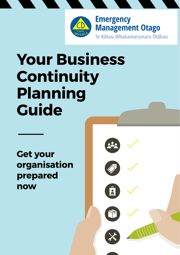

# **Your Business Continuity Planning Guide**

**Get your organisation prepared now**

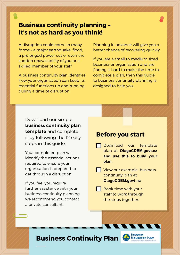### **Business continuity planning – it's not as hard as you think!**

A disruption could come in many forms – a major earthquake, flood, a prolonged power cut or even the sudden unavailability of you or a skilled member of your staff.

A business continuity plan identifies how your organisation can keep its essential functions up and running during a time of disruption.

Planning in advance will give you a better chance of recovering quickly.

If you are a small to medium sized business or organisation and are finding it hard to make the time to complete a plan, then this guide to business continuity planning is designed to help you.

Download our simple **business continuity plan template** and complete it by following the 12 easy steps in this guide.

Your completed plan will identify the essential actions required to ensure your organisation is prepared to get through a disruption.

If you feel you require further assistance with your business continuity planning, we recommend you contact a private consultant.

### **Before you start**

Download our template plan at **[OtagoCDEM.govt.nz](http://GetPrepared.nz/businesses) and use this to build your plan**.

View our example business continuity plan at **OtagoCDEM.govt.nz**

**Book time with your** staff to work through the steps together.

### **Business Continuity Plan**

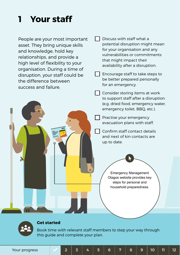# **1 Your staff**

People are your most important asset. They bring unique skills and knowledge, hold key relationships, and provide a high level of flexibility to your organisation. During a time of disruption, your staff could be the difference between success and failure.

<sup>4</sup> <sup>5</sup> <sup>6</sup> <sup>7</sup> <sup>8</sup> **At risk of a tsunami?**

**1. Sign up for alerts and follow WREMO Good sources for information during an emergency are:**  $\mathbb{R}^n$  . **VISIT www.WREMO.nz** WREMO's Facebook page **LIKE facebook.com/WREMOnz** WREMO's Twitter feed **FOLLOW @WREMOinfo LISTEN TO** Radio New Zealand and local stations

**RIGHT NOW Download the app**  Download the New Zealand Red Cross' Hazards app. Make sure General Notifications are turned on so WREMO can notify you during a life-threatening emergency. WREMO will send alerts only when personal safety is at risk. Adjust the other notifications to receive only what you want. Remember, this is the Wellington region and you probably won't want to be  $F = \mathbf{V}$ **WE'RE PREPARED!** We've signed up for emergency alerts <sup>2</sup> <sup>3</sup> <sup>4</sup> <sup>5</sup> <sup>6</sup> <sup>7</sup> <sup>8</sup>

**You<sup>r</sup> Earthquake Planning Guide Pick the American get prepared now**   $\Box$  Discuss with staff what a potential disruption might mean for your organisation and any vulnerabilities or commitments that might impact their availability after a disruption.

Encourage staff to take steps to be better prepared personally for an emergency.

Consider storing items at work to support staff after a disruption (e.g. dried food, emergency water, emergency toilet, BBQ, etc.).

Practise your emergency evacuation plans with staff.

Confirm staff contact details and next of kin contacts are up to date.

> Emergency Management Otagos website provides key steps for personal and household preparedness.



#### **Get started**

International experts know you reduce your chance of injury if you Drop, Cover and Hold during an earthquake. Most injuries during earthquakes are caused by the furniture, ornaments and building fittings, like ceiling tiles, rather than collapsing buildings. **In an earthquake: Indoors –** Stay inside until the shaking stops and it is safe to exit. Leave the building with caution and watch out for falling objects. **In a tall building –** Same as above, don't rush outside just because the fire alarms go off. **Outdoors –** Move away from buildings, trees, and power lines, then Drop, Cover and Hold until the shaking stops. **On a busy city street –** Don't stay on the footpath as things might fall on you from the buildings around you.

We've practiced Drop, Cover and Hold

**3. Know your tsunami zone** If you're near the coast during an earthquake and the shaking is either **Long or Strong, Get Gone!** In a local earthquake, the only tsunami warning

Talk with neighbours about how everyone can get Find out if the places you live, work, or play, are in a tsunami zone and where you need to go to be safe.  **getprepared.org.nz/TsunamiZone 10The first wave may arrive in as little as 10 minutes, so there is no time for an official warning such as sirens. We only send alerts for tsunami that start from far away, like South America.**

 $-$  where  $\overline{\phantom{a}}$ 

**2. Practice Drop, Cover and Hold TODAY**

Book time with relevant staff members to step your way through this guide and complete your plan.

**Locate your local Community Emergency Hub**

Community Emergency Hubs are gathering points for your community. Hubs used to be called Civil Defence Centres – but we changed the name to better reflect their purpose. After a large earthquake, locals like you should  $\mathcal{I}$ community's response using the appropriate skills and resources you have available to you.

 $W_{\rm eff}$ 

N:0W

**getprepared.org.nz:**  $F_{\rm eff}$ check out your area's Community Response Plan. see which areas you live, work and play are in Check out **www.WREMO** website. This is **.nz**  where you will go for **credible information** 

 $\overline{\phantom{a}}$ **Make your home safe**  $\mathcal{L}$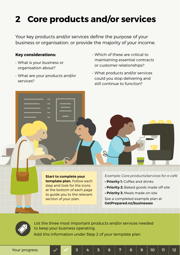## **2 Core products and/or services**

Your key products and/or services define the purpose of your business or organisation, or provide the majority of your income.

#### **Key considerations:**

- What is your business or organisation about?
- What are your products and/or services?
- Which of these are critical to maintaining essential contracts or customer relationships?
- What products and/or services could you stop delivering and still continue to function?

**Start to complete your template plan.** Follow each step and look for the icons at the bottom of each page to guide you to the relevant section of your plan.

*Example: Core products/services for a café*

- **Priority 1:** Coffee and drinks
- **Priority 2:** Baked goods made off-site
- **Priority 3:** Meals made on-site

See a completed example plan at **[GetPrepared.nz/businesses](http://GetPrepared.nz/businesses)**



List the three most important products and/or services needed to keep your business operating. Add this information under Step 2 of your template plan.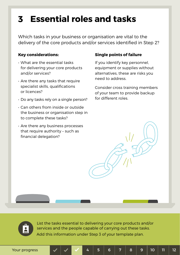### **Essential roles and tasks 3**

Which tasks in your business or organisation are vital to the delivery of the core products and/or services identified in Step 2?

#### **Key considerations:**

- What are the essential tasks for delivering your core products and/or services?
- Are there any tasks that require specialist skills, qualifications or licences?
- Do any tasks rely on a single person?
- Can others from inside or outside the business or organisation step in to complete these tasks?
- Are there any business processes that require authority – such as financial delegation?

### **Single points of failure**

If you identify key personnel, equipment or supplies without alternatives, these are risks you need to address.

Consider cross training members of your team to provide backup for different roles.



List the tasks essential to delivering your core products and/or services and the people capable of carrying out these tasks. Add this information under Step 3 of your template plan.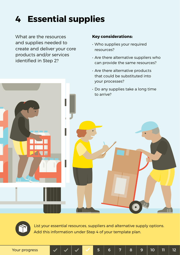### **4 Essential supplies**

What are the resources and supplies needed to create and deliver your core products and/or services identified in Step 2?

### **Key considerations:**

- Who supplies your required resources?
- Are there alternative suppliers who can provide the same resources?
- Are there alternative products that could be substituted into your processes?
- Do any supplies take a long time to arrive?



List your essential resources, suppliers and alternative supply options. Add this information under Step 4 of your template plan.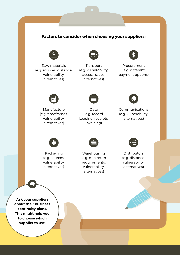#### **Factors to consider when choosing your suppliers:**



Raw materials (e.g. sources, distance, vulnerability, alternatives)



Transport (e.g. vulnerability, access issues, alternatives)



**Procurement** (e.g. different payment options)



Manufacture (e.g. timeframes, vulnerability, alternatives)



Data (e.g. record keeping, receipts, invoicing)



Communications (e.g. vulnerability, alternatives)



Packaging (e.g. sources, vulnerability, alternatives)



Warehousing (e.g. minimum requirements, vulnerability, alternatives)



Distributors (e.g. distance, vulnerability, alternatives)

**Ask your suppliers about their business continuity plans. This might help you to choose which supplier to use.**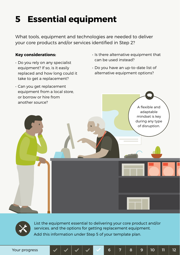### **5 Essential equipment**

What tools, equipment and technologies are needed to deliver your core products and/or services identified in Step 2?

#### **Key considerations:**

- Do you rely on any specialist equipment? If so, is it easily replaced and how long could it take to get a replacement?
- Is there alternative equipment that can be used instead?
- Do you have an up-to-date list of alternative equipment options?





List the equipment essential to delivering your core product and/or services, and the options for getting replacement equipment. Add this information under Step 5 of your template plan.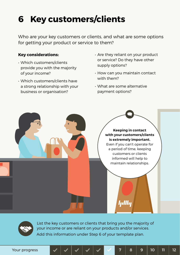## **6 Key customers/clients**

Who are your key customers or clients, and what are some options for getting your product or service to them?

#### **Key considerations:**

- Which customers/clients provide you with the majority of your income?
- Which customers/clients have a strong relationship with your business or organisation?
- Are they reliant on your product or service? Do they have other supply options?
- How can you maintain contact with them?
- What are some alternative payment options?





List the key customers or clients that bring you the majority of your income or are reliant on your products and/or services. Add this information under Step 6 of your template plan.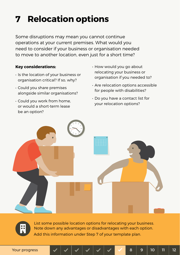# **7 Relocation options**

Some disruptions may mean you cannot continue operations at your current premises. What would you need to consider if your business or organisation needed to move to another location, even just for a short time?

### **Key considerations:**

- Is the location of your business or organisation critical? If so, why?
- Could you share premises alongside similar organisations?
- Could you work from home, or would a short-term lease be an option?
- How would you go about relocating your business or organisation if you needed to?
- Are relocation options accessible for people with disabilities?
- Do you have a contact list for your relocation options?





List some possible location options for relocating your business. Note down any advantages or disadvantages with each option. Add this information under Step 7 of your template plan.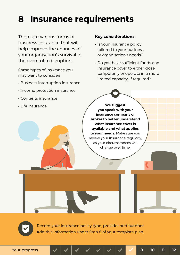### **8 Insurance requirements**

There are various forms of business insurance that will help improve the chances of your organisation's survival in the event of a disruption.

Some types of insurance you may want to consider:

- Business interruption insurance
- Income protection insurance
- Contents insurance
- Life insurance.

#### **Key considerations:**

- Is your insurance policy tailored to your business or organisation's needs?
- Do you have sufficient funds and insurance cover to either close temporarily or operate in a more limited capacity, if required?

**We suggest you speak with your insurance company or broker to better understand what insurance cover is available and what applies to your needs.** Make sure you review your insurance regularly, as your circumstances will change over time.

Record your insurance policy type, provider and number. Add this information under Step 8 of your template plan.

Your progress 8 9 10 11 12 Your progress 9 10 11 12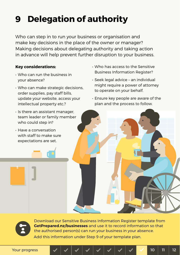# **Delegation of authority 9**

Who can step in to run your business or organisation and make key decisions in the place of the owner or manager? Making decisions about delegating authority and taking action in advance will help prevent further disruption to your business.

### **Key considerations:**

- Who can run the business in your absence?
- Who can make strategic decisions, order supplies, pay staff bills, update your website, access your intellectual property etc.?
- Is there an assistant manager, team leader or family member who could step in?
- Have a conversation with staff to make sure expectations are set.
- Who has access to the Sensitive Business Information Register?
- Seek legal advice an individual might require a power of attorney to operate on your behalf.
- Ensure key people are aware of the plan and the process to follow.



Download our Sensitive Business Information Register template from **[GetPrepared.nz/businesses](http://GetPrepared.nz/businesses)** and use it to record information so that the authorised person(s) can run your business in your absence. Add this information under Step 9 of your template plan.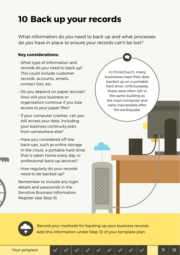### **10 Back up your records**

What information do you need to back up and what processes do you have in place to ensure your records can't be lost?

### **Key considerations:**

- What type of information and records do you need to back up? This could include customer records, accounts, emails contact lists, etc.
- Do you depend on paper records? How will your business or organisation continue if you lose access to your paper files?
- If your computer crashes, can you still access your data, including your business continuity plan, from somewhere else?
- Have you considered off-site back-ups, such as online storage in the cloud, a portable hard drive that is taken home every day, or professional back-up services?
- How regularly do your records need to be backed up?

Remember to include any login details and passwords in the Sensitive Business Information Register (see Step 9).





Record your methods for backing up your business records. Add this information under Step 10 of your template plan.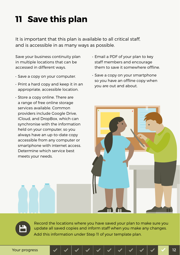### **11 Save this plan**

It is important that this plan is available to all critical staff, and is accessible in as many ways as possible.

Save your business continuity plan in multiple locations that can be accessed in different ways.

- Save a copy on your computer.
- Print a hard copy and keep it in an appropriate, accessible location.
- Store a copy online. There are a range of free online storage services available. Common providers include Google Drive, iCloud, and DropBox, which can synchronise with the information held on your computer, so you always have an up-to-date copy accessible from any computer or smartphone with internet access. Determine which service best meets your needs.
- Email a PDF of your plan to key staff members and encourage them to save it somewhere offline.
- Save a copy on your smartphone so you have an offline copy when you are out and about.





Record the locations where you have saved your plan to make sure you update all saved copies and inform staff when you make any changes. Add this information under Step 11 of your template plan.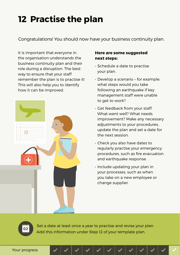## **12 Practise the plan**

Congratulations! You should now have your business continuity plan.

It is important that everyone in the organisation understands the business continuity plan and their role during a disruption. The best way to ensure that your staff remember the plan is to practise it! This will also help you to identify how it can be improved.



### **Here are some suggested next steps:**

- Schedule a date to practise your plan.
- Develop a scenario for example, what steps would you take following an earthquake if key management staff were unable to get to work?
- Get feedback from your staff. What went well? What needs improvement? Make any necessary adjustments to your procedures, update the plan and set a date for the next session.
- Check you also have dates to regularly practise your emergency procedures, such as fire evacuation and earthquake response.
- Include updating your plan in your processes, such as when you take on a new employee or change supplier.

Set a date at least once a year to practise and revise your plan. Add this information under Step 12 of your template plan.